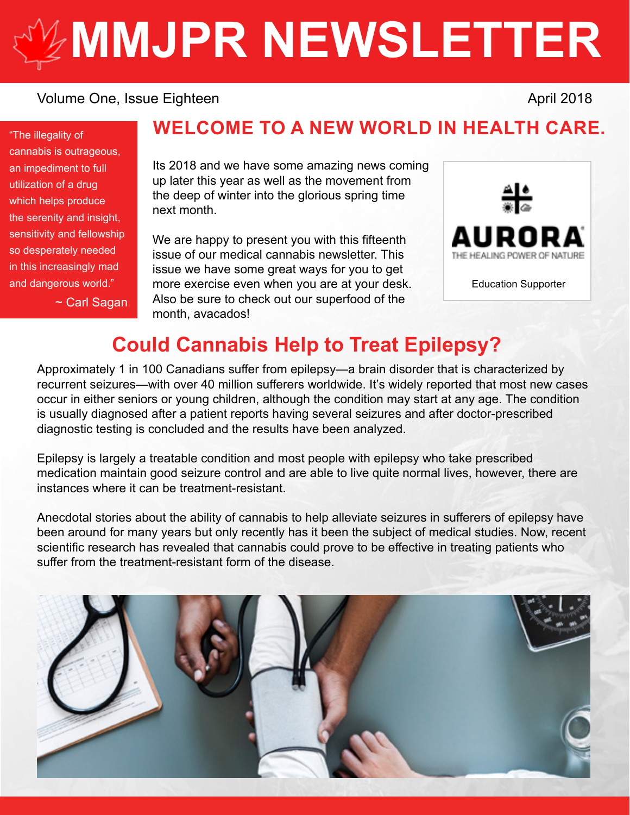# **[MMJPR NEWSLETTER](http://mmjpr.ca)**

#### Volume One, Issue Eighteen April 2018

"The illegality of cannabis is outrageous, an impediment to full utilization of a drug which helps produce the serenity and insight, sensitivity and fellowship so desperately needed in this increasingly mad

~ Carl Sagan

## **WELCOME TO A NEW WORLD IN HEALTH CARE.**

Its 2018 and we have some amazing news coming up later this year as well as the movement from the deep of winter into the glorious spring time next month.

We are happy to present you with this fifteenth issue of our medical cannabis newsletter. This issue we have some great ways for you to get and dangerous world."  $\qquad \qquad$  more exercise even when you are at your desk.  $\qquad \qquad$  Education Supporter Also be sure to check out our superfood of the month, avacados!



## **Could Cannabis Help to Treat Epilepsy?**

Approximately 1 in 100 Canadians suffer from epilepsy—a brain disorder that is characterized by recurrent seizures—with over 40 million sufferers worldwide. It's widely reported that most new cases occur in either seniors or young children, although the condition may start at any age. The condition is usually diagnosed after a patient reports having several seizures and after doctor-prescribed diagnostic testing is concluded and the results have been analyzed.

Epilepsy is largely a treatable condition and most people with epilepsy who take prescribed medication maintain good seizure control and are able to live quite normal lives, however, there are instances where it can be treatment-resistant.

Anecdotal stories about the ability of cannabis to help alleviate seizures in sufferers of epilepsy have been around for many years but only recently has it been the subject of medical studies. Now, recent scientific research has revealed that cannabis could prove to be effective in treating patients who suffer from the treatment-resistant form of the disease.

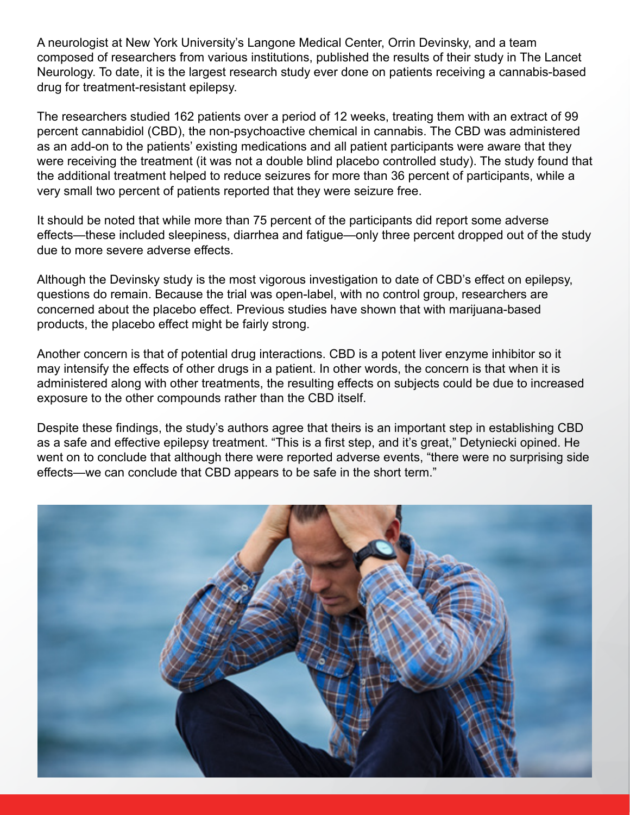A neurologist at New York University's Langone Medical Center, Orrin Devinsky, and a team composed of researchers from various institutions, published the results of their study in The Lancet Neurology. To date, it is the largest research study ever done on patients receiving a cannabis-based drug for treatment-resistant epilepsy.

The researchers studied 162 patients over a period of 12 weeks, treating them with an extract of 99 percent cannabidiol (CBD), the non-psychoactive chemical in cannabis. The CBD was administered as an add-on to the patients' existing medications and all patient participants were aware that they were receiving the treatment (it was not a double blind placebo controlled study). The study found that the additional treatment helped to reduce seizures for more than 36 percent of participants, while a very small two percent of patients reported that they were seizure free.

It should be noted that while more than 75 percent of the participants did report some adverse effects—these included sleepiness, diarrhea and fatigue—only three percent dropped out of the study due to more severe adverse effects.

Although the Devinsky study is the most vigorous investigation to date of CBD's effect on epilepsy, questions do remain. Because the trial was open-label, with no control group, researchers are concerned about the placebo effect. Previous studies have shown that with marijuana-based products, the placebo effect might be fairly strong.

Another concern is that of potential drug interactions. CBD is a potent liver enzyme inhibitor so it may intensify the effects of other drugs in a patient. In other words, the concern is that when it is administered along with other treatments, the resulting effects on subjects could be due to increased exposure to the other compounds rather than the CBD itself.

Despite these findings, the study's authors agree that theirs is an important step in establishing CBD as a safe and effective epilepsy treatment. "This is a first step, and it's great," Detyniecki opined. He went on to conclude that although there were reported adverse events, "there were no surprising side effects—we can conclude that CBD appears to be safe in the short term."

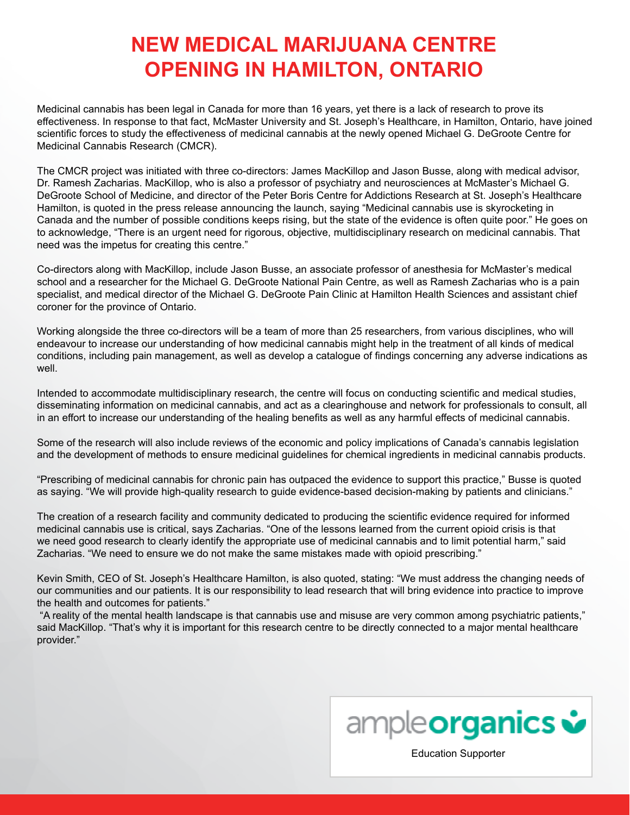## **NEW MEDICAL MARIJUANA CENTRE OPENING IN HAMILTON, ONTARIO**

Medicinal cannabis has been legal in Canada for more than 16 years, yet there is a lack of research to prove its effectiveness. In response to that fact, McMaster University and St. Joseph's Healthcare, in Hamilton, Ontario, have joined scientific forces to study the effectiveness of medicinal cannabis at the newly opened Michael G. DeGroote Centre for Medicinal Cannabis Research (CMCR).

The CMCR project was initiated with three co-directors: James MacKillop and Jason Busse, along with medical advisor, Dr. Ramesh Zacharias. MacKillop, who is also a professor of psychiatry and neurosciences at McMaster's Michael G. DeGroote School of Medicine, and director of the Peter Boris Centre for Addictions Research at St. Joseph's Healthcare Hamilton, is quoted in the press release announcing the launch, saying "Medicinal cannabis use is skyrocketing in Canada and the number of possible conditions keeps rising, but the state of the evidence is often quite poor." He goes on to acknowledge, "There is an urgent need for rigorous, objective, multidisciplinary research on medicinal cannabis. That need was the impetus for creating this centre."

Co-directors along with MacKillop, include Jason Busse, an associate professor of anesthesia for McMaster's medical school and a researcher for the Michael G. DeGroote National Pain Centre, as well as Ramesh Zacharias who is a pain specialist, and medical director of the Michael G. DeGroote Pain Clinic at Hamilton Health Sciences and assistant chief coroner for the province of Ontario.

Working alongside the three co-directors will be a team of more than 25 researchers, from various disciplines, who will endeavour to increase our understanding of how medicinal cannabis might help in the treatment of all kinds of medical conditions, including pain management, as well as develop a catalogue of findings concerning any adverse indications as well.

Intended to accommodate multidisciplinary research, the centre will focus on conducting scientific and medical studies, disseminating information on medicinal cannabis, and act as a clearinghouse and network for professionals to consult, all in an effort to increase our understanding of the healing benefits as well as any harmful effects of medicinal cannabis.

Some of the research will also include reviews of the economic and policy implications of Canada's cannabis legislation and the development of methods to ensure medicinal guidelines for chemical ingredients in medicinal cannabis products.

"Prescribing of medicinal cannabis for chronic pain has outpaced the evidence to support this practice," Busse is quoted as saying. "We will provide high-quality research to guide evidence-based decision-making by patients and clinicians."

The creation of a research facility and community dedicated to producing the scientific evidence required for informed medicinal cannabis use is critical, says Zacharias. "One of the lessons learned from the current opioid crisis is that we need good research to clearly identify the appropriate use of medicinal cannabis and to limit potential harm," said Zacharias. "We need to ensure we do not make the same mistakes made with opioid prescribing."

Kevin Smith, CEO of St. Joseph's Healthcare Hamilton, is also quoted, stating: "We must address the changing needs of our communities and our patients. It is our responsibility to lead research that will bring evidence into practice to improve the health and outcomes for patients."

 "A reality of the mental health landscape is that cannabis use and misuse are very common among psychiatric patients," said MacKillop. "That's why it is important for this research centre to be directly connected to a major mental healthcare provider."

ample**organics &** 

[Education Supporter](https://ampleorganics.com/)